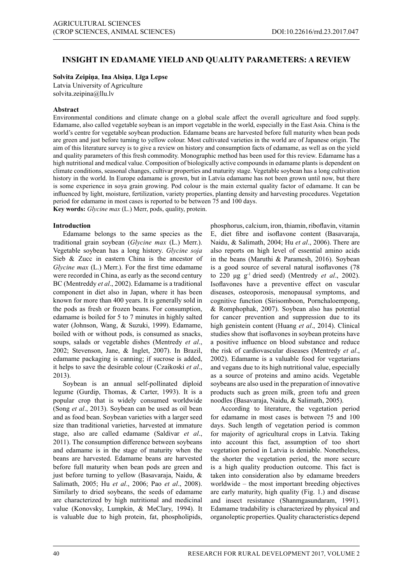# **INSIGHT IN EDAMAME YIELD AND QUALITY PARAMETERS: A REVIEW**

## **Solvita Zeipiņa**, **Ina Alsiņa**, **Līga Lepse**

Latvia University of Agriculture solvita.zeipina@llu.lv

## **Abstract**

Environmental conditions and climate change on a global scale affect the overall agriculture and food supply. Edamame, also called vegetable soybean is an import vegetable in the world, especially in the East Asia. China is the world's centre for vegetable soybean production. Edamame beans are harvested before full maturity when bean pods are green and just before turning to yellow colour. Most cultivated varieties in the world are of Japanese origin. The aim of this literature survey is to give a review on history and consumption facts of edamame, as well as on the yield and quality parameters of this fresh commodity. Monographic method has been used for this review. Edamame has a high nutritional and medical value. Composition of biologically active compounds in edamame plants is dependent on climate conditions, seasonal changes, cultivar properties and maturity stage. Vegetable soybean has a long cultivation history in the world. In Europe edamame is grown, but in Latvia edamame has not been grown until now, but there is some experience in soya grain growing. Pod colour is the main external quality factor of edamame. It can be influenced by light, moisture, fertilization, variety properties, planting density and harvesting procedures. Vegetation period for edamame in most cases is reported to be between 75 and 100 days. **Key words:** *Glycine max* (L.) Merr, pods, quality, protein.

**Introduction**

Edamame belongs to the same species as the traditional grain soybean (*Glycine max* (L.) Merr.). Vegetable soybean has a long history. *Glycine soja* Sieb & Zucc in eastern China is the ancestor of *Glycine max* (L.) Merr.). For the first time edamame were recorded in China, as early as the second century BC (Mentreddy *et al*., 2002). Edamame is a traditional component in diet also in Japan, where it has been known for more than 400 years. It is generally sold in the pods as fresh or frozen beans. For consumption, edamame is boiled for 5 to 7 minutes in highly salted water (Johnson, Wang, & Suzuki, 1999). Edamame, boiled with or without pods, is consumed as snacks, soups, salads or vegetable dishes (Mentredy *et al*., 2002; Stevenson, Jane, & Inglet, 2007). In Brazil, edamame packaging is canning; if sucrose is added, it helps to save the desirable colour (Czaikoski *et al*., 2013).

Soybean is an annual self-pollinated diploid legume (Gurdip, Thomas, & Carter, 1993). It is a popular crop that is widely consumed worldwide (Song *et al*., 2013). Soybean can be used as oil bean and as food bean. Soybean varieties with a larger seed size than traditional varieties, harvested at immature stage, also are called edamame (Saldivar *et al*., 2011). The consumption difference between soybeans and edamame is in the stage of maturity when the beans are harvested. Edamame beans are harvested before full maturity when bean pods are green and just before turning to yellow (Basavaraja, Naidu, & Salimath, 2005; Hu *et al*., 2006; Pao *et al*., 2008). Similarly to dried soybeans, the seeds of edamame are characterized by high nutritional and medicinal value (Konovsky, Lumpkin, & MeClary, 1994). It is valuable due to high protein, fat, phospholipids,

phosphorus, calcium, iron, thiamin, riboflavin, vitamin E, diet fibre and isoflavone content (Basavaraja, Naidu, & Salimath, 2004; Hu *et al*., 2006). There are also reports on high level of essential amino acids in the beans (Maruthi & Paramesh, 2016). Soybean is a good source of several natural isoflavones (78 to 220 μg g-1 dried seed) (Mentredy *et al*., 2002). Isoflavones have a preventive effect on vascular diseases, osteoporosis, menopausal symptoms, and cognitive function (Sirisomboon, Pornchaloempong, & Romphophak, 2007). Soybean also has potential for cancer prevention and suppression due to its high genistein content (Huang *et al*., 2014). Clinical studies show that isoflavones in soybean proteins have a positive influence on blood substance and reduce the risk of cardiovascular diseases (Mentredy *et al*., 2002). Edamame is a valuable food for vegetarians and vegans due to its high nutritional value, especially as a source of proteins and amino acids. Vegetable soybeans are also used in the preparation of innovative products such as green milk, green tofu and green noodles (Basavaraja, Naidu, & Salimath, 2005).

According to literature, the vegetation period for edamame in most cases is between 75 and 100 days. Such length of vegetation period is common for majority of agricultural crops in Latvia. Taking into account this fact, assumption of too short vegetation period in Latvia is deniable. Nonetheless, the shorter the vegetation period, the more secure is a high quality production outcome. This fact is taken into consideration also by edamame breeders worldwide – the most important breeding objectives are early maturity, high quality (Fig. 1.) and disease and insect resistance (Shanmgasundaram, 1991). Edamame tradability is characterized by physical and organoleptic properties. Quality characteristics depend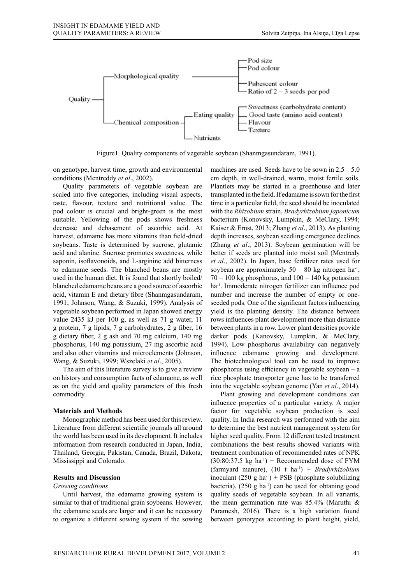

Figure1. Quality components of vegetable soybean (Shanmgasundaram, 1991). Figure1. Quality components of vegetable soybean (Shanmgasundaram, 1991).

on genotype, harvest time, growth and environmental conditions (Mentreddy *et al*., 2002).

 $\alpha$  Quality parameters of vegetable soybean are Plance and  $\alpha$ scaled into five categories, including visual aspects, taste, flavour, texture and nutritional value. The suitable. Yellowing of the pods shows freshness bacterium (Konovsky, decrease and debasement of ascorbic acid. At harvest, edamame has more vitamins than field-dried soybeans. Taste is determined by sucrose, glutamic acid and alanine. Sucrose promotes sweetness, while saponin, isoflavonoids, and L-arginine add bitterness vegetable soybean performed in Japan showed energy value 2435 kJ per 100 g, as well as 71 g water,  $\frac{55}{11}$  rows influences pla g protein, 7 g lipids, 7 g carbohydrates, 2 g fiber, 16 and also other vitamins and microelements (Johnson,

on history and consumption facts of edamame, as well as on the yield and quality parameters of this fresh into the vegetable soybean genome (Yan *et al.*, 2014). commodity.

# **Materials and Methods**

Monographic method has been used for this review. the world has been used in its development. It includes information from research conducted in Japan, India, Thailand, Georgia, Pakistan, Canada, Brazil, Dakota, Mississippi and Colorado.

#### **Results and Discussion**

#### *Growing conditions*

Until harvest, the edamame growing system is similar to that of traditional grain soybeans. However, the edamame seeds are larger and it can be necessary to organize a different sowing system if the sowing

pod colour is crucial and bright-green is the most with the Rhizobium strain, Bradyrhizobium japonicum to edamame seeds. The blanched beans are mostly soybean are approximately  $50 - 80$  kg nitrogen ha<sup>-1</sup>, used in the human diet. It is found that shortly boiled/ $70 - 100$  kg phosphorus, and  $100 - 140$  kg potassium blanched edamame beans are a good source of ascorbic ha<sup>-1</sup>. Immoderate nitrogen fertilizer can influence pod acid, vitamin E and dietary fibre (Shanmgasundaram, number and increase the number of empty or one-1991; Johnson, Wang, & Suzuki, 1999). Analysis of seeded pods. One of the significant factors influencing g dietary fiber, 2 g ash and 70 mg calcium, 140 mg darker pods (Kanovsky, Lumpkin, & MeClary, phosphorus, 140 mg potassium, 27 mg ascorbic acid 1994). Low phosphorus availability can negatively Wang, & Suzuki, 1999; Wszelaki *et al.*, 2005). The biotechnological tool can be used to improve The biotechnological tool can be used to be<br>The aim of this literature survey is to give a review phosphorus using efficiency in vegetable soyl machines are used. Seeds have to be sown in  $2.5 - 5.0$ genotype, narvest time, grown and chynomichant materimes are ased. Seeds have to be sown in 2.5 3.6 ditions (Mentreddy *et al.*, 2002).  $em \text{ depth, in well-drained, warm, moist fertile soils.}$ Plantlets may be started in a greenhouse and later transplanted in the field. If edamame is sown for the first the increase the seed should be inoculated the seed should be inoculated the seed should be inoculated the seed should be increased for this review. Literature from different scientific in the seed should be inoculated the with the *Rhizobium* strain, *Bradyrhizobium japonicum* bacterium (Konovsky, Lumpkin, & MeClary, 1994; Kaiser & Ernst, 2013; Zhang *et al*., 2013). As planting depth increases, soybean seedling emergence declines (Zhang *et al*., 2013). Soybean germination will be and alanine. Sucrose promotes sweetness, while better if seeds are planted into moist soil (Mentredy saponin, isoflavonoids, and L-arginine add bitterness *et al.*, 2002). In Japan, base fertilizer rates used for soybean are approximately  $50 - 80$  kg nitrogen ha<sup>-1</sup>,  $70 - 100$  kg phosphorus, and  $100 - 140$  kg potassium ha-1. Immoderate nitrogen fertilizer can influence pod number and increase the number of empty or oneseeded pods. One of the significant factors influencing vegetable soybean performed in Japan showed energy yield is the planting density. The distance between the state of the new state of the state results in the results in the results in the results in the results in the state results in the results in the results in the results in the results in the results in the results in g protein, 7 g lipids, 7 g carbohydrates, 2 g fiber, 16 between plants in a row. Lower plant densities provide darker pods (Kanovsky, Lumpkin, & MeClary, 1994). Low phosphorus availability can negatively educe edamame growing and development.<br>
2) in the phosphorus availability can negatively and also other vitamins and microelements (Johnson, influence edamame growing and development. The biotechnological tool can be used to improve phosphorus using efficiency in vegetable soybean – a not all not this increased survey is to give a fevrew phosphorus using emerging in vegetable soybean – a story and consumption facts of edamame, as well rice phosphate transporter gene has to be transferred into the vegetable soybean genome (Yan *et al*., 2014). for usual solution is seen and the south the prospect due to determine the aim to determine the aim to determine the aim to determine the aim to determine the aim to determine the aim to determine the aim to determine the

Literature from different scientific journals all around to determine the best nutrient management system for commodity. Plant growing and development conditions can provide rates of  $\overline{a}$ influence properties of a particular variety. A major factor for vegetable soybean production is seed Monographic method has been used for this review. quality. In India research was performed with the aim to determine the best nutrient management system for the world has been used in its development. It includes higher seed quality. From 12 different tested treatment combinations the best results showed variants with treatment combination of recommended rates of NPK  $(30:80:37.5 \text{ kg} \text{ ha}^{-1})$  + Recommended dose of FYM (farmyard manure), (10 t ha-1) + *Bradyrhizobium* inoculant  $(250 \text{ g ha}^{-1})$  + PSB (phosphate solubilizing bacteria),  $(250 \text{ g} \text{ ha}^{-1})$  can be used for obtaning good quality seeds of vegetable soybean. In all variants, the mean germination rate was 85.4% (Maruthi & Paramesh, 2016). There is a high variation found between genotypes according to plant height, yield,  $R_{\rm F}$  and  $R_{\rm F}$  are  $R_{\rm F}$  and  $R_{\rm F}$  are  $\Gamma$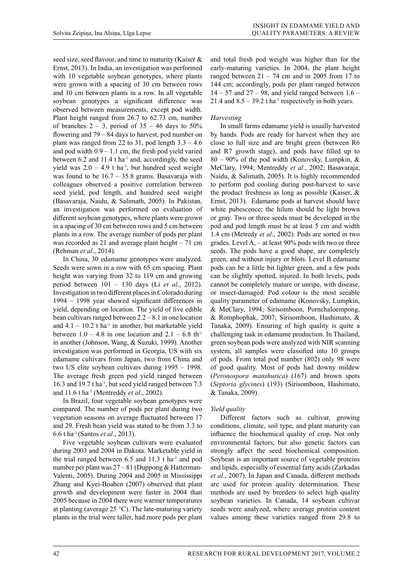seed size, seed flavour, and time to maturity (Kaiser & Ernst, 2013). In India, an investigation was performed with 10 vegetable soybean genotypes, where plants were grown with a spacing of 30 cm between rows and 10 cm between plants in a row. In all vegetable soybean genotypes a significant difference was observed between measurements, except pod width. Plant height ranged from 26.7 to 62.73 cm, number of branches  $2 - 3$ , period of  $35 - 46$  days to  $50\%$ flowering and 79 – 84 days to harvest, pod number on plant was ranged from 22 to 31, pod length  $3.3 - 4.6$ and pod width  $0.9 - 1.1$  cm, the fresh pod yield varied between  $6.2$  and  $11.4$  t ha<sup>-1</sup> and, accordingly, the seed yield was  $2.0 - 4.9$  t ha<sup>-1</sup>, but hundred seed weight was found to be  $16.7 - 35.8$  grams. Basavaraja with colleagues observed a positive correlation between seed yield, pod length, and hundred seed weight (Basavaraja, Naidu, & Salimath, 2005). In Pakistan, an investigation was performed on evaluation of different soybean genotypes, where plants were grown in a spacing of 30 cm between rows and 5 cm between plants in a row. The average number of pods per plant was recorded as 21 and average plant height – 71 cm (Rehman *et al*., 2014).

In China, 30 edamame genotypes were analyzed. Seeds were sown in a row with 65 cm spacing. Plant height was varying from 32 to 119 cm and growing period between 101 – 130 days (Li *et al*., 2012). Investigation in two different places in Colorado during 1994 – 1998 year showed significant differences in yield, depending on location. The yield of five edible bean cultivars ranged between 2.2 – 8.1 in one location and  $4.1 - 10.2$  t ha<sup>-1</sup> in another, but marketable yield between  $1.0 - 4.8$  in one location and  $2.1 - 6.8$  th<sup>-1</sup> in another (Johnson, Wang, & Suzuki, 1999). Another investigation was performed in Georgia, US with six edamame cultivars from Japan, two from China and two US elite soybean cultivars during 1995 – 1998. The average fresh green pod yield ranged between 16.3 and 19.7 t ha<sup>-1</sup>, but seed yield ranged between 7.3 and 11.6 t ha-1 (Mentreddy *et al*., 2002).

In Brazil, four vegetable soybean genotypes were compared. The number of pods per plant during two vegetation seasons on average fluctuated between 17 and 29. Fresh bean yield was stated to be from 3.3 to 6.6 t ha-1 (Santos *et al*., 2013).

Five vegetable soybean cultivars were evaluated during 2003 and 2004 in Dakota. Marketable yield in the trial ranged between  $6.5$  and  $11.3$  t ha<sup>-1</sup> and pod number per plant was 27 – 81 (Duppong & Hatterman-Valenti, 2005). During 2004 and 2005 in Mississippi Zhang and Kyei-Boahen (2007) observed that plant growth and development were faster in 2004 than 2005 because in 2004 there were warmer temperatures at planting (average 25 °C). The late-maturing variety plants in the trial were taller, had more pods per plant

and total fresh pod weight was higher than for the early-maturing varieties. In 2004, the plant height ranged between  $21 - 74$  cm and in 2005 from 17 to 144 cm; accordingly, pods per plant ranged between  $14 - 57$  and  $27 - 98$ , and yield ranged between  $1.6 -$ 21.4 and  $8.5 - 39.2$  t ha<sup>-1</sup> respectively in both years.

## *Harvesting*

In small farms edamame yield is usually harvested by hands. Pods are ready for harvest when they are close to full size and are bright green (between R6 and R7 growth stage), and pods have filled up to  $80 - 90\%$  of the pod width (Konovsky, Lumpkin, & MeClary, 1994; Mentreddy *et al*., 2002; Basavaraja, Naidu, & Salimath, 2005). It is highly recommended to perform pod cooling during post-harvest to save the product freshness as long as possible (Kaiser, & Ernst, 2013). Edamame pods at harvest should have white pubescence; the hilum should be light brown or gray. Two or three seeds must be developed in the pod and pod length must be at least 5 cm and width 1.4 cm (Metredy *et al*., 2002). Pods are sorted in two grades. Level  $A_1$  – at least 90% pods with two or three seeds. The pods have a good shape, are completely green, and without injury or blots. Level B edamame pods can be a little bit lighter green, and a few pods can be slightly spotted, injured. In both levels, pods cannot be completely mature or unripe, with disease, or insect-damaged. Pod colour is the most seeable quality parameter of edamame (Konovsky, Lumpkin, & MeClary, 1994; Sirisomboon, Pornchaloempong, & Romphophak, 2007; Sirisomboon, Hashimato, & Tanaka, 2009). Ensuring of high quality is quite a challenging task in edamame production. In Thailand, green soybean pods were analyzed with NIR scanning system, all samples were classified into 10 groups of pods. From total pod number (802) only 98 were of good quality. Most of pods had downy mildew (*Peronospora manshurica*) (167) and brown spots (*Septoria glycines*) (193) (Sirisomboon, Hashimato, & Tanaka, 2009).

## *Yield quality*

Different factors such as cultivar, growing conditions, climate, soil type, and plant maturity can influence the biochemical quality of crop. Not only environmental factors, but also genetic factors can strongly affect the seed biochemical composition. Soybean is an important source of vegetable proteins and lipids, especially of essential fatty acids (Zarkadas *et al*., 2007). In Japan and Canada, different methods are used for protein quality determination. These methods are used by breeders to select high quality soybean varieties. In Canada, 14 soybean cultivar seeds were analyzed, where average protein content values among these varieties ranged from 29.8 to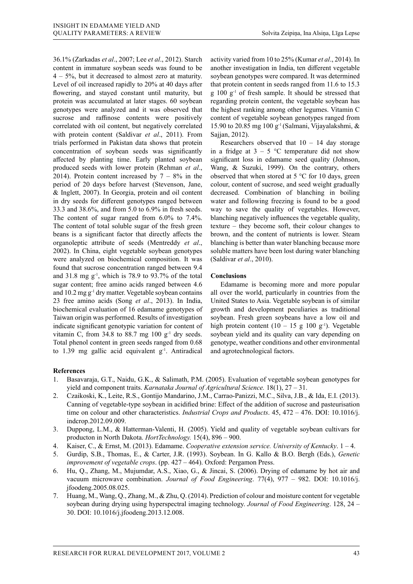36.1% (Zarkadas *et al*., 2007; Lee *et al*., 2012). Starch content in immature soybean seeds was found to be 4 – 5%, but it decreased to almost zero at maturity. Level of oil increased rapidly to 20% at 40 days after flowering, and stayed constant until maturity, but protein was accumulated at later stages. 60 soybean genotypes were analyzed and it was observed that sucrose and raffinose contents were positively correlated with oil content, but negatively correlated with protein content (Saldivar *et al*., 2011). From trials performed in Pakistan data shows that protein concentration of soybean seeds was significantly affected by planting time. Early planted soybean produced seeds with lower protein (Rehman *et al*., 2014). Protein content increased by  $7 - 8\%$  in the period of 20 days before harvest (Stevenson, Jane, & Inglett, 2007). In Georgia, protein and oil content in dry seeds for different genotypes ranged between 33.3 and 38.6%, and from 5.0 to 6.9% in fresh seeds. The content of sugar ranged from 6.0% to 7.4%. The content of total soluble sugar of the fresh green beans is a significant factor that directly affects the organoleptic attribute of seeds (Mentreddy *et al*., 2002). In China, eight vegetable soybean genotypes were analyzed on biochemical composition. It was found that sucrose concentration ranged between 9.4 and 31.8 mg  $g^{-1}$ , which is 78.9 to 93.7% of the total sugar content; free amino acids ranged between 4.6 and  $10.2$  mg  $g^{-1}$  dry matter. Vegetable soybean contains 23 free amino acids (Song *et al*., 2013). In India, biochemical evaluation of 16 edamame genotypes of Taiwan origin was performed. Results of investigation indicate significant genotypic variation for content of vitamin C, from 34.8 to 88.7 mg  $100 \text{ g}^{-1}$  dry seeds. Total phenol content in green seeds ranged from 0.68 to 1.39 mg gallic acid equivalent  $g^{-1}$ . Antiradical

activity varied from 10 to 25% (Kumar *et al*., 2014). In another investigation in India, ten different vegetable soybean genotypes were compared. It was determined that protein content in seeds ranged from 11.6 to 15.3  $g 100 g<sup>-1</sup>$  of fresh sample. It should be stressed that regarding protein content, the vegetable soybean has the highest ranking among other legumes. Vitamin C content of vegetable soybean genotypes ranged from 15.90 to 20.85 mg 100 g<sup>-1</sup> (Salmani, Vijayalakshmi, & Sajjan, 2012).

Researchers observed that  $10 - 14$  day storage in a fridge at  $3 - 5$  °C temperature did not show significant loss in edamame seed quality (Johnson, Wang, & Suzuki, 1999). On the contrary, others observed that when stored at 5 °C for 10 days, green colour, content of sucrose, and seed weight gradually decreased. Combination of blanching in boiling water and following freezing is found to be a good way to save the quality of vegetables. However, blanching negatively influences the vegetable quality, texture – they become soft, their colour changes to brown, and the content of nutrients is lower. Steam blanching is better than water blanching because more soluble matters have been lost during water blanching (Saldivar *et al*., 2010).

### **Conclusions**

Edamame is becoming more and more popular all over the world, particularly in countries from the United States to Asia. Vegetable soybean is of similar growth and development peculiaries as traditional soybean. Fresh green soybeans have a low oil and high protein content  $(10 - 15$  g  $100$  g<sup>-1</sup>). Vegetable soybean yield and its quality can vary depending on genotype, weather conditions and other environmental and agrotechnological factors.

### **References**

- 1. Basavaraja, G.T., Naidu, G.K., & Salimath, P.M. (2005). Evaluation of vegetable soybean genotypes for yield and component traits. *Karnataka Journal of Agricultural Science.* 18(1), 27 – 31.
- 2. Czaikoski, K., Leite, R.S., Gontijo Mandarino, J.M., Carrao-Panizzi, M.C., Silva, J.B., & Ida, E.I. (2013). Canning of vegetable-type soybean in acidified brine: Effect of the addition of sucrose and pasteurisation time on colour and other characteristics. *Industrial Crops and Products*. 45, 472 – 476. DOI: 10.1016/j. indcrop.2012.09.009.
- 3. Duppong, L.M., & Hatterman-Valenti, H. (2005). Yield and quality of vegetable soybean cultivars for producton in North Dakota. *HortTechnology.* 15(4), 896 – 900.
- 4. Kaiser, C., & Ernst, M. (2013). Edamame. *Cooperative extension service. University of Kentucky*. 1 4.
- 5. Gurdip, S.B., Thomas, E., & Carter, J.R. (1993). Soybean. In G. Kallo & B.O. Bergh (Eds.), *Genetic improvement of vegetable crops*. (pp. 427 – 464). Oxford: Pergamon Press.
- 6. Hu, Q., Zhang, M., Mujumdar, A.S., Xiao, G., & Jincai, S. (2006). Drying of edamame by hot air and vacuum microwave combination. *Journal of Food Engineering*. 77(4), 977 – 982. DOI: 10.1016/j. jfoodeng.2005.08.025.
- 7. Huang, M., Wang, Q., Zhang, M., & Zhu, Q. (2014). Prediction of colour and moisture content for vegetable soybean during drying using hyperspectral imaging technology. *Journal of Food Engineering*. 128, 24 – 30. DOI: 10.1016/j.jfoodeng.2013.12.008.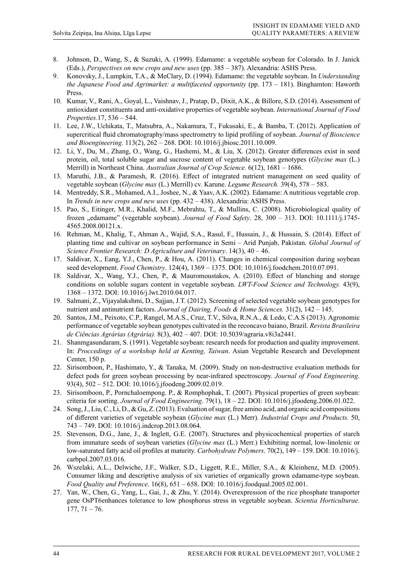- 8. Johnson, D., Wang, S., & Suzuki, A. (1999). Edamame: a vegetable soybean for Colorado. In J. Janick (Eds.), *Perspectives on new crops and new uses* (pp. 385 – 387). Alexandria: ASHS Press.
- 9. Konovsky, J., Lumpkin, T.A., & MeClary, D. (1994). Edamame: the vegetable soybean. In *Understanding the Japanese Food and Agrimarket: a multifaceted opportunity* (pp. 173 – 181). Binghamton: Haworth Press.
- 10. Kumar, V., Rani, A., Goyal, L., Vaishnav, J., Pratap, D., Dixit, A.K., & Billore, S.D. (2014). Assessment of antioxidant constituents and anti-oxidative properties of vegetable soybean. *International Journal of Food Properties.*17, 536 – 544.
- 11. Lee, J.W., Uchikata, T., Matsubra, A., Nakamura, T., Fukusaki, E., & Bamba, T. (2012). Application of supercritical fluid chromatography/mass spectrometry to lipid profiling of soybean. *Journal of Bioscience and Bioengineering.* 113(2), 262 – 268. DOI: 10.1016/j.jbiosc.2011.10.009.
- 12. Li, Y., Du, M., Zhang, O., Wang, G., Hashemi, M., & Liu, X. (2012). Greater differences exist in seed protein, oil, total soluble sugar and sucrose content of vegetable soybean genotypes (*Glycine max* (L.) Merrill) in Northeast China. *Australian Journal of Crop Science.* 6(12), 1681 – 1686.
- 13. Maruthi, J.B., & Paramesh, R. (2016). Effect of integrated nutrient management on seed quality of vegetable soybean (*Glycine max* (L.) Merrill) cv. Karune. *Legume Research.* 39(4), 578 – 583.
- 14. Mentreddy, S.R., Mohamed, A.I., Joshee, N., & Yaav, A.K. (2002). Edamame: A nutritious vegetable crop. In *Trends in new crops and new uses* (pp. 432 – 438). Alexandria: ASHS Press.
- 15. Pao, S., Eitinger, M.R., Khalid, M.F., Mebrahtu, T., & Mullins, C. (2008). Microbiological quality of frozen "edamame" (vegetable soybean). *Journal of Food Safety*. 28, 300 – 313. DOI: 10.1111/j.1745- 4565.2008.00121.x.
- 16. Rehman, M., Khalig, T., Ahman A., Wajid, S.A., Rasul, F., Hussain, J., & Hussain, S. (2014). Effect of planting time and cultivar on soybean performance in Semi – Arid Punjab, Pakistan. *Global Journal of Science Frontier Research: D Agriculture and Veterinary*. 14(3), 40 – 46.
- 17. Saldivar, X., Eang, Y.J., Chen, P., & Hou, A. (2011). Changes in chemical composition during soybean seed development. *Food Chemistry*. 124(4), 1369 – 1375. DOI: 10.1016/j.foodchem.2010.07.091.
- 18. Saldivar, X., Wang, Y.J., Chen, P., & Mauromoustakos, A. (2010). Effect of blanching and storage conditions on soluble sugars content in vegetable soybean. *LWT-Food Science and Technology.* 43(9), 1368 – 1372. DOI: 10.1016/j.lwt.2010.04.017.
- 19. Salmani, Z., Vijayalakshmi, D., Sajjan, J.T. (2012). Screening of selected vegetable soybean genotypes for nutrient and antinutrient factors. *Journal of Dairing, Foods & Home Sciences.* 31(2), 142 – 145.
- 20. Santos, J.M., Peixoto, C.P., Rangel, M.A.S., Cruz, T.V., Silva, R.N.A., & Ledo, C.A.S (2013). Agronomic performance of vegetable soybean genotypes cultivated in the reconcavo baiano, Brazil. *Revista Brasileira de Ciências Agrárias (Agrária).* 8(3), 402 – 407. DOI: 10.5039/agraria.v8i3a2441.
- 21. Shanmgasundaram, S. (1991). Vegetable soybean: research needs for production and quality improvement. In: *Proccedings of a workshop held at Kenting, Taiwan*. Asian Vegetable Research and Development Center, 150 p.
- 22. Sirisomboon, P., Hashimato, Y., & Tanaka, M. (2009). Study on non-destructive evaluation methods for defect pods for green soybean processing by near-infrared spectroscopy. *Journal of Food Engineering*. 93(4), 502 – 512. DOI: 10.1016/j.jfoodeng.2009.02.019.
- 23. Sirisomboon, P., Pornchaloempong. P., & Romphophak, T. (2007). Physical properties of green soybean: criteria for sorting. *Journal of Food Engineering*. 79(1), 18 – 22. DOI: 10.1016/j.jfoodeng.2006.01.022.
- 24. Song, J., Liu, C., Li, D., & Gu, Z. (2013). Evaluation of sugar, free amino acid, and organic acid compositions of different varieties of vegetable soybean (*Glycine max* (L.) Merr). *Industrial Crops and Products.* 50, 743 – 749. DOI: 10.1016/j.indcrop.2013.08.064.
- 25. Stevenson, D.G., Jane, J., & Inglett, G.E. (2007). Structures and physicochemical properties of starch from immature seeds of soybean varieties (*Glycine max* (L.) Merr.) Exhibiting normal, low-linolenic or low-saturated fatty acid oil profiles at maturity. *Carbohydrate Polymers*. 70(2), 149 – 159. DOI: 10.1016/j. carbpol.2007.03.016.
- 26. Wszelaki, A.L., Delwiche, J.F., Walker, S.D., Liggett, R.E., Miller, S.A., & Kleinhenz, M.D. (2005). Consumer liking and descriptive analysis of six varieties of organically grown edamame-type soybean. *Food Quality and Preference*. 16(8), 651 – 658. DOI: 10.1016/j.foodqual.2005.02.001.
- 27. Yan, W., Chen, G., Yang, L., Gai, J., & Zhu, Y. (2014). Overexpression of the rice phosphate transporter gene OsPT6enhances tolerance to low phosphorus stress in vegetable soybean. *Scientia Horticulturae.*   $177, 71 - 76.$